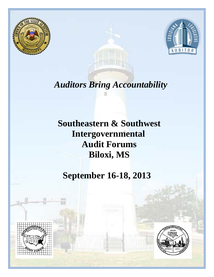



# *Auditors Bring Accountability*

# **Southeastern & Southwest Intergovernmental Audit Forums Biloxi, MS**

# **September 16-18, 2013**



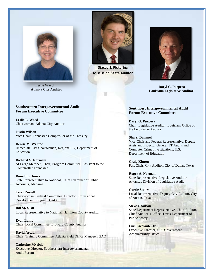

 **Leslie Ward Atlanta City Auditor**

#### **Southeastern Intergovernmental Audit Forum Executive Committee**

**Leslie E. Ward** Chairwoman, Atlanta City Auditor

**Justin Wilson**  Vice Chair, Tennessee Comptroller of the Treasury

**Denise M. Wempe** Immediate Past Chairwoman, Regional IG, Department of Education

**Richard V. Norment** At Large Member, Chair, Program Committee, Assistant to the Comptroller Tennessee

**Ronald L. Jones** State Representative to National, Chief Examiner of Public Accounts, Alabama

**Terri Russell** Chairwoman, Federal Committee, Director, Professional Development Program, GAO

**Bill McGriff** Local Representative to National, Hamilton County Auditor

**Evan Lukic** Chair, Local Committee, Broward County Auditor

**David Artadi** Chair, Training Committee, Atlanta Field Office Manager, GAO

**Catherine Myrick** Executive Director, Southeastern Intergovernmental Audit Forum



**Stacey E. Pickering Mississippi State Auditor**



 **Daryl G. Purpera Louisiana Legislative Auditor** 

#### **Southwest Intergovernmental Audit Forum Executive Committee**

**Daryl G. Purpera** Chair, Legislative Auditor, Louisiana Office of the Legislative Auditor

#### **Sherri Demmel** Vice-Chair and Federal Representative, Deputy Assistant Inspector General, IT Audits and Computer Crime Investigations, U.S. Department of Education

**Craig Kinton** Past Chair, City Auditor, City of Dallas, Texas

**Roger A. Norman** State Representative, Legislative Auditor, Arkansas Division of Legislative Audit

**Corrie Stokes** Local Representative, Deputy City Auditor, City of Austin, Texas

**Steve Goodson** State Department Representative, Chief Auditor, Chief Auditor's Office, Texas Department of Public Safety

**Luis Escalante, Jr.** Executive Director, U.S. Government Accountability Office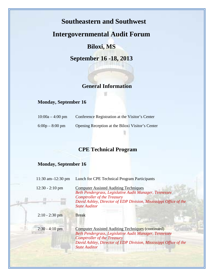## **Intergovernmental Audit Forum**

### **Biloxi, MS**

**September 16 -18, 2013**

#### **General Information**

#### **Monday, September 16**

| $10:00a - 4:00$ pm | Conference Registration at the Visitor's Center  |
|--------------------|--------------------------------------------------|
| $6:00p - 8:00p$ pm | Opening Reception at the Biloxi Visitor's Center |

## **CPE Technical Program**

#### **Monday, September 16**

| 11:30 am $-12:30$ pm | Lunch for CPE Technical Program Participants                                                                                                                                                                                                          |
|----------------------|-------------------------------------------------------------------------------------------------------------------------------------------------------------------------------------------------------------------------------------------------------|
| $12:30 - 2:10$ pm    | <b>Computer Assisted Auditing Techniques</b><br>Beth Pendergrass, Legislative Audit Manager, Tennessee<br><b>Comptroller of the Treasury</b><br>David Ashley, Director of EDP Division, Mississippi Office of the<br><b>State Auditor</b>             |
| $2:10 - 2:30$ pm     | <b>Break</b>                                                                                                                                                                                                                                          |
| $2:30 - 4:10$ pm     | <b>Computer Assisted Auditing Techniques (continued)</b><br>Beth Pendergrass, Legislative Audit Manager, Tennessee<br><b>Comptroller of the Treasury</b><br>David Ashley, Director of EDP Division, Mississippi Office of the<br><b>State Auditor</b> |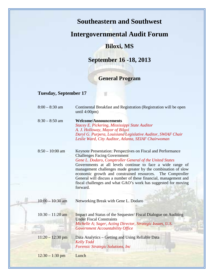## **Intergovernmental Audit Forum**

### **Biloxi, MS**

## **September 16 -18, 2013**

## **General Program**

#### **Tuesday, September 17**

| $8:00 - 8:30$ am   | Continental Breakfast and Registration (Registration will be open<br>until 4:00pm)                                                                                                                                                                                                                                                                                                                         |
|--------------------|------------------------------------------------------------------------------------------------------------------------------------------------------------------------------------------------------------------------------------------------------------------------------------------------------------------------------------------------------------------------------------------------------------|
| $8:30 - 8:50$ am   | <b>Welcome/Announcements</b><br>Stacey E. Pickering, Mississippi State Auditor                                                                                                                                                                                                                                                                                                                             |
|                    | A. J. Holloway, Mayor of Biloxi                                                                                                                                                                                                                                                                                                                                                                            |
|                    | Daryl G. Purpera, Louisiana Legislative Auditor, SWIAF Chair                                                                                                                                                                                                                                                                                                                                               |
|                    | Leslie Ward, City Auditor, Atlanta, SEIAF Chairwoman                                                                                                                                                                                                                                                                                                                                                       |
|                    |                                                                                                                                                                                                                                                                                                                                                                                                            |
| $8:50 - 10:00$ am  | Keynote Presentation: Perspectives on Fiscal and Performance<br><b>Challenges Facing Government</b>                                                                                                                                                                                                                                                                                                        |
|                    | Gene L. Dodaro, Comptroller General of the United States<br>Governments at all levels continue to face a wide range of<br>management challenges made greater by the combination of slow<br>economic growth and constrained resources.<br>The Comptroller<br>General will discuss a number of these financial, management and<br>fiscal challenges and what GAO's work has suggested for moving<br>forward. |
| $10:00 - 10:30$ am | Networking Break with Gene L. Dodaro                                                                                                                                                                                                                                                                                                                                                                       |
| $10:30 - 11:20$ am | Impact and Status of the Sequester/Fiscal Dialogue on Auditing<br><b>Under Fiscal Constraints</b><br>Michelle A; Sager, Acting Director, Strategic Issues, U.S.<br><b>Government Accountability Office</b>                                                                                                                                                                                                 |
| $11:20 - 12:30$ pm | Data Analytics – Getting and Using Reliable Data<br><b>Kelly Todd</b><br><b>Forensic Strategic Solutions, Inc</b>                                                                                                                                                                                                                                                                                          |
| $12:30 - 1:30$ pm  | Lunch                                                                                                                                                                                                                                                                                                                                                                                                      |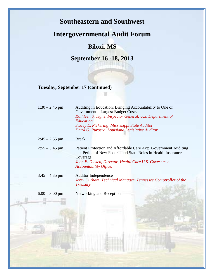## **Intergovernmental Audit Forum**

## **Biloxi, MS**

**September 16 -18, 2013**

**Tuesday, September 17 (continued)**

| $1:30 - 2:45$ pm | Auditing in Education: Bringing Accountability to One of<br><b>Government's Largest Budget Costs</b>                                          |
|------------------|-----------------------------------------------------------------------------------------------------------------------------------------------|
|                  | Kathleen S. Tighe, Inspector General, U.S. Department of                                                                                      |
|                  | Education<br>Stacey E. Pickering, Mississippi State Auditor                                                                                   |
|                  | Daryl G. Purpera, Louisiana Legislative Auditor                                                                                               |
| $2:45 - 2:55$ pm | <b>Break</b>                                                                                                                                  |
| $2:55 - 3:45$ pm | Patient Protection and Affordable Care Act: Government Auditing<br>in a Period of New Federal and State Roles in Health Insurance<br>Coverage |
|                  | John E. Dicken, Director, Health Care U.S. Government<br>Accountability Office,                                                               |
| $3:45 - 4:35$ pm | <b>Auditor Independence</b><br>Jerry Durham, Technical Manager, Tennessee Comptroller of the<br><b>Treasury</b>                               |
| $6:00 - 8:00$ pm | Networking and Reception                                                                                                                      |
|                  |                                                                                                                                               |
|                  |                                                                                                                                               |
|                  |                                                                                                                                               |
|                  |                                                                                                                                               |
|                  |                                                                                                                                               |
|                  |                                                                                                                                               |
|                  |                                                                                                                                               |

**Brystand Library Committee International**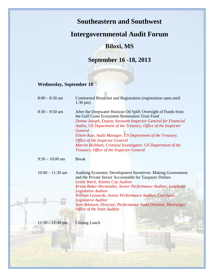|                                | <b>Intergovernmental Audit Forum</b>                                                                                                                                                                                                                                                                                                                                                                                                                                                |
|--------------------------------|-------------------------------------------------------------------------------------------------------------------------------------------------------------------------------------------------------------------------------------------------------------------------------------------------------------------------------------------------------------------------------------------------------------------------------------------------------------------------------------|
|                                | <b>Biloxi, MS</b>                                                                                                                                                                                                                                                                                                                                                                                                                                                                   |
|                                | September 16 - 18, 2013                                                                                                                                                                                                                                                                                                                                                                                                                                                             |
| <b>Wednesday, September 18</b> |                                                                                                                                                                                                                                                                                                                                                                                                                                                                                     |
| $8:00 - 8:30$ am               | Continental Breakfast and Registration (registration open until<br>$1:30 \text{ pm}$                                                                                                                                                                                                                                                                                                                                                                                                |
| $8:30 - 9:50$ am               | After the Deepwater Horizon Oil Spill: Oversight of Funds from<br>the Gulf Coast Ecosystem Restoration Trust Fund<br>Donna Joseph, Deputy Assistant Inspector General for Financial<br>Audits, US Department of the Treasury, Office of the Inspector<br>General<br>Eileen Kao, Audit Manager, US Department of the Treasury,<br><b>Office of the Inspector General</b><br>Marvin Bickham, Criminal Investigator, US Department of the<br>Treasury, Office of the Inspector General |
| $9:50 - 10:00$ am              | <b>Break</b>                                                                                                                                                                                                                                                                                                                                                                                                                                                                        |
| $10:00 - 11:30$ am             | <b>Auditing Economic Development Incentives: Making Government</b><br>and the Private Sector Accountable for Taxpayer Dollars<br>Leslie Ward, Atlanta City Auditor<br>Krista Baker-Hernandez, Senior Performance Auditor, Louisiana<br><b>Legislative Auditor</b><br>William Leonards, Senior Performance Auditor, Louisiana                                                                                                                                                        |
|                                | Legislative Auditor<br>Sam Atkinson, Director, Performance Audit Division, Mississippi<br><b>Office of the State Auditor</b>                                                                                                                                                                                                                                                                                                                                                        |
| $11:30 - 12:30$ pm             | <b>Closing Lunch</b>                                                                                                                                                                                                                                                                                                                                                                                                                                                                |

<u> Andrewski i Maria Maria (</u>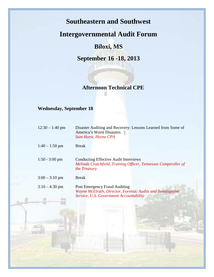## **Intergovernmental Audit Forum**

## **Biloxi, MS**

**September 16 -18, 2013**

#### **Afternoon Technical CPE**

#### **Wednesday, September 18**

| Disaster Auditing and Recovery: Lessons Learned from Some of<br>America's Worst Disasters<br><b>Sam Hurst, Horne CPA</b>                       |
|------------------------------------------------------------------------------------------------------------------------------------------------|
| <b>Break</b>                                                                                                                                   |
| <b>Conducting Effective Audit Interviews</b><br>Melinda Crutchfield, Training Officer, Tennessee Comptroller of<br>the Treasury                |
| <b>Break</b>                                                                                                                                   |
| <b>Post Emergency Fraud Auditing</b><br>Wayne McElrath, Director, Forensic Audits and Investigative<br>Service, U.S. Government Accountability |
|                                                                                                                                                |